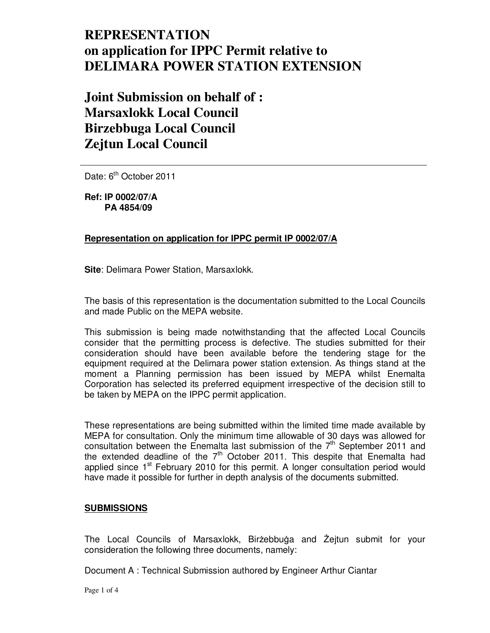# **REPRESENTATION on application for IPPC Permit relative to DELIMARA POWER STATION EXTENSION**

## **Joint Submission on behalf of : Marsaxlokk Local Council Birzebbuga Local Council Zejtun Local Council**

Date: 6<sup>th</sup> October 2011

**Ref: IP 0002/07/A PA 4854/09** 

## **Representation on application for IPPC permit IP 0002/07/A**

**Site**: Delimara Power Station, Marsaxlokk.

The basis of this representation is the documentation submitted to the Local Councils and made Public on the MEPA website.

This submission is being made notwithstanding that the affected Local Councils consider that the permitting process is defective. The studies submitted for their consideration should have been available before the tendering stage for the equipment required at the Delimara power station extension. As things stand at the moment a Planning permission has been issued by MEPA whilst Enemalta Corporation has selected its preferred equipment irrespective of the decision still to be taken by MEPA on the IPPC permit application.

These representations are being submitted within the limited time made available by MEPA for consultation. Only the minimum time allowable of 30 days was allowed for consultation between the Enemalta last submission of the  $7<sup>th</sup>$  September 2011 and the extended deadline of the 7<sup>th</sup> October 2011. This despite that Enemalta had applied since  $1<sup>st</sup>$  February 2010 for this permit. A longer consultation period would have made it possible for further in depth analysis of the documents submitted.

## **SUBMISSIONS**

The Local Councils of Marsaxlokk, Birżebbuġa and Żejtun submit for your consideration the following three documents, namely:

Document A : Technical Submission authored by Engineer Arthur Ciantar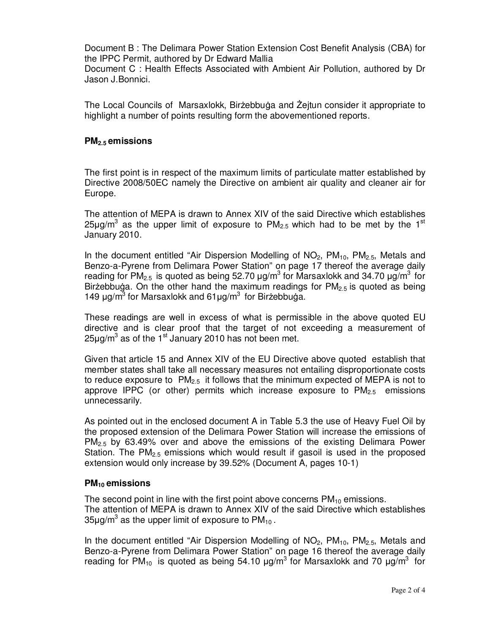Document B : The Delimara Power Station Extension Cost Benefit Analysis (CBA) for the IPPC Permit, authored by Dr Edward Mallia

Document C : Health Effects Associated with Ambient Air Pollution, authored by Dr Jason J.Bonnici.

The Local Councils of Marsaxlokk, Birżebbuga and Żejtun consider it appropriate to highlight a number of points resulting form the abovementioned reports.

#### **PM2.5 emissions**

The first point is in respect of the maximum limits of particulate matter established by Directive 2008/50EC namely the Directive on ambient air quality and cleaner air for Europe.

The attention of MEPA is drawn to Annex XIV of the said Directive which establishes 25µg/m<sup>3</sup> as the upper limit of exposure to PM<sub>2.5</sub> which had to be met by the 1<sup>st</sup> January 2010.

In the document entitled "Air Dispersion Modelling of  $NO<sub>2</sub>$ ,  $PM<sub>10</sub>$ ,  $PM<sub>2.5</sub>$ , Metals and Benzo-a-Pyrene from Delimara Power Station" on page 17 thereof the average daily reading for PM<sub>2.5</sub> is quoted as being 52.70  $\mu$ g/m<sup>3</sup> for Marsaxlokk and 34.70  $\mu$ g/m<sup>3</sup> for Birżebbuga. On the other hand the maximum readings for  $PM_{2.5}$  is quoted as being 149  $\mu$ g/m<sup>3</sup> for Marsaxlokk and 61 $\mu$ g/m<sup>3</sup> for Birżebbuġa.

These readings are well in excess of what is permissible in the above quoted EU directive and is clear proof that the target of not exceeding a measurement of  $25 \mu g/m^3$  as of the 1<sup>st</sup> January 2010 has not been met.

Given that article 15 and Annex XIV of the EU Directive above quoted establish that member states shall take all necessary measures not entailing disproportionate costs to reduce exposure to  $PM_{2.5}$  it follows that the minimum expected of MEPA is not to approve IPPC (or other) permits which increase exposure to  $PM_{2.5}$  emissions unnecessarily.

As pointed out in the enclosed document A in Table 5.3 the use of Heavy Fuel Oil by the proposed extension of the Delimara Power Station will increase the emissions of  $PM<sub>2.5</sub>$  by 63.49% over and above the emissions of the existing Delimara Power Station. The  $PM<sub>2.5</sub>$  emissions which would result if gasoil is used in the proposed extension would only increase by 39.52% (Document A, pages 10-1)

## **PM10 emissions**

The second point in line with the first point above concerns  $PM_{10}$  emissions. The attention of MEPA is drawn to Annex XIV of the said Directive which establishes 35µg/m $^3$  as the upper limit of exposure to PM<sub>10</sub>.

In the document entitled "Air Dispersion Modelling of  $NO<sub>2</sub>$ ,  $PM<sub>10</sub>$ ,  $PM<sub>2.5</sub>$ , Metals and Benzo-a-Pyrene from Delimara Power Station" on page 16 thereof the average daily reading for PM<sub>10</sub> is quoted as being 54.10  $\mu$ g/m<sup>3</sup> for Marsaxlokk and 70  $\mu$ g/m<sup>3</sup> for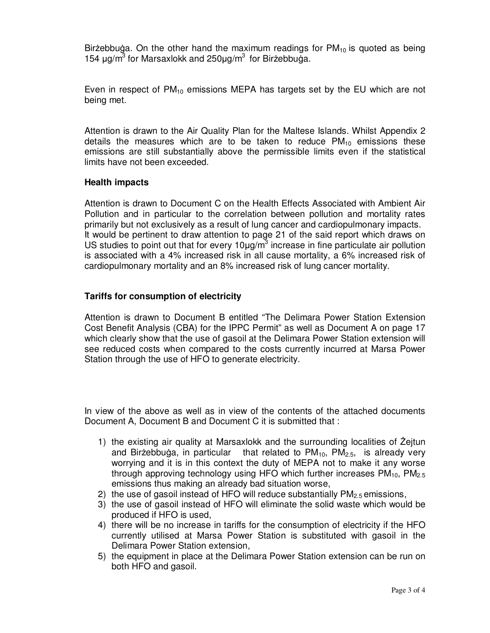Birżebbuga. On the other hand the maximum readings for  $PM_{10}$  is quoted as being 154  $\mu$ g/m<sup>3</sup> for Marsaxlokk and 250 $\mu$ g/m<sup>3</sup> for Birżebbuğa.

Even in respect of  $PM_{10}$  emissions MEPA has targets set by the EU which are not being met.

Attention is drawn to the Air Quality Plan for the Maltese Islands. Whilst Appendix 2 details the measures which are to be taken to reduce  $PM_{10}$  emissions these emissions are still substantially above the permissible limits even if the statistical limits have not been exceeded.

#### **Health impacts**

Attention is drawn to Document C on the Health Effects Associated with Ambient Air Pollution and in particular to the correlation between pollution and mortality rates primarily but not exclusively as a result of lung cancer and cardiopulmonary impacts. It would be pertinent to draw attention to page 21 of the said report which draws on US studies to point out that for every  $10 \mu g/m^3$  increase in fine particulate air pollution is associated with a 4% increased risk in all cause mortality, a 6% increased risk of cardiopulmonary mortality and an 8% increased risk of lung cancer mortality.

#### **Tariffs for consumption of electricity**

Attention is drawn to Document B entitled "The Delimara Power Station Extension Cost Benefit Analysis (CBA) for the IPPC Permit" as well as Document A on page 17 which clearly show that the use of gasoil at the Delimara Power Station extension will see reduced costs when compared to the costs currently incurred at Marsa Power Station through the use of HFO to generate electricity.

In view of the above as well as in view of the contents of the attached documents Document A, Document B and Document C it is submitted that :

- 1) the existing air quality at Marsaxlokk and the surrounding localities of Zejtun and Birżebbuġa, in particular that related to  $PM_{10}$ ,  $PM_{2.5}$ , is already very worrying and it is in this context the duty of MEPA not to make it any worse through approving technology using HFO which further increases  $PM_{10}$ ,  $PM_{2.5}$ emissions thus making an already bad situation worse,
- 2) the use of gasoil instead of HFO will reduce substantially  $PM_{2.5}$  emissions,
- 3) the use of gasoil instead of HFO will eliminate the solid waste which would be produced if HFO is used,
- 4) there will be no increase in tariffs for the consumption of electricity if the HFO currently utilised at Marsa Power Station is substituted with gasoil in the Delimara Power Station extension,
- 5) the equipment in place at the Delimara Power Station extension can be run on both HFO and gasoil.